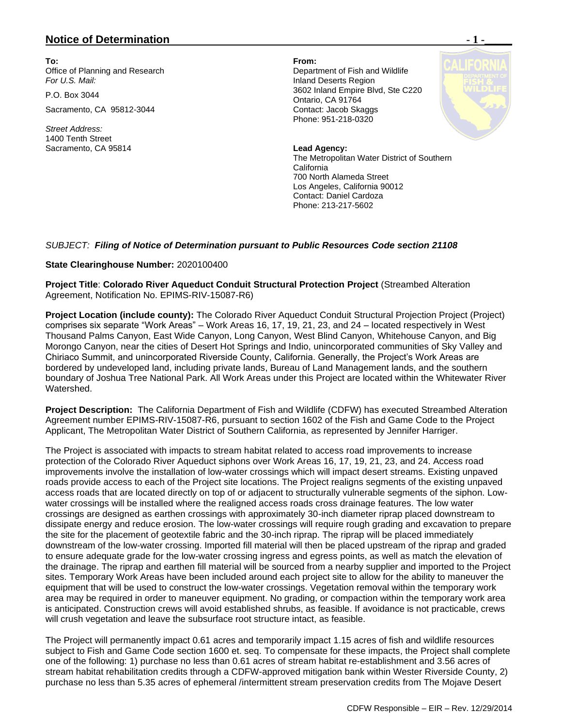## **Notice of Determination**  $\blacksquare$  **1 -**

**To: From:**  Office of Planning and Research **Department of Fish and Wildlife** *For U.S. Mail:* Inland Deserts Region

Sacramento, CA 95812-3044 Contact: Jacob Skaggs

*Street Address:* 1400 Tenth Street Sacramento, CA 95814 **Lead Agency:**

P.O. Box 3044 3602 Inland Empire Blvd, Ste C220 Ontario, CA 91764 Phone: 951-218-0320

> The Metropolitan Water District of Southern California 700 North Alameda Street Los Angeles, California 90012 Contact: Daniel Cardoza Phone: 213-217-5602

## *SUBJECT: Filing of Notice of Determination pursuant to Public Resources Code section 21108*

## **State Clearinghouse Number:** 2020100400

**Project Title**: **Colorado River Aqueduct Conduit Structural Protection Project** (Streambed Alteration Agreement, Notification No. EPIMS-RIV-15087-R6)

**Project Location (include county):** The Colorado River Aqueduct Conduit Structural Projection Project (Project) comprises six separate "Work Areas" – Work Areas 16, 17, 19, 21, 23, and 24 – located respectively in West Thousand Palms Canyon, East Wide Canyon, Long Canyon, West Blind Canyon, Whitehouse Canyon, and Big Morongo Canyon, near the cities of Desert Hot Springs and Indio, unincorporated communities of Sky Valley and Chiriaco Summit, and unincorporated Riverside County, California. Generally, the Project's Work Areas are bordered by undeveloped land, including private lands, Bureau of Land Management lands, and the southern boundary of Joshua Tree National Park. All Work Areas under this Project are located within the Whitewater River Watershed.

**Project Description:** The California Department of Fish and Wildlife (CDFW) has executed Streambed Alteration Agreement number EPIMS-RIV-15087-R6, pursuant to section 1602 of the Fish and Game Code to the Project Applicant, The Metropolitan Water District of Southern California, as represented by Jennifer Harriger.

The Project is associated with impacts to stream habitat related to access road improvements to increase protection of the Colorado River Aqueduct siphons over Work Areas 16, 17, 19, 21, 23, and 24. Access road improvements involve the installation of low-water crossings which will impact desert streams. Existing unpaved roads provide access to each of the Project site locations. The Project realigns segments of the existing unpaved access roads that are located directly on top of or adjacent to structurally vulnerable segments of the siphon. Lowwater crossings will be installed where the realigned access roads cross drainage features. The low water crossings are designed as earthen crossings with approximately 30-inch diameter riprap placed downstream to dissipate energy and reduce erosion. The low-water crossings will require rough grading and excavation to prepare the site for the placement of geotextile fabric and the 30-inch riprap. The riprap will be placed immediately downstream of the low-water crossing. Imported fill material will then be placed upstream of the riprap and graded to ensure adequate grade for the low-water crossing ingress and egress points, as well as match the elevation of the drainage. The riprap and earthen fill material will be sourced from a nearby supplier and imported to the Project sites. Temporary Work Areas have been included around each project site to allow for the ability to maneuver the equipment that will be used to construct the low-water crossings. Vegetation removal within the temporary work area may be required in order to maneuver equipment. No grading, or compaction within the temporary work area is anticipated. Construction crews will avoid established shrubs, as feasible. If avoidance is not practicable, crews will crush vegetation and leave the subsurface root structure intact, as feasible.

The Project will permanently impact 0.61 acres and temporarily impact 1.15 acres of fish and wildlife resources subject to Fish and Game Code section 1600 et. seq. To compensate for these impacts, the Project shall complete one of the following: 1) purchase no less than 0.61 acres of stream habitat re-establishment and 3.56 acres of stream habitat rehabilitation credits through a CDFW-approved mitigation bank within Wester Riverside County, 2) purchase no less than 5.35 acres of ephemeral /intermittent stream preservation credits from The Mojave Desert